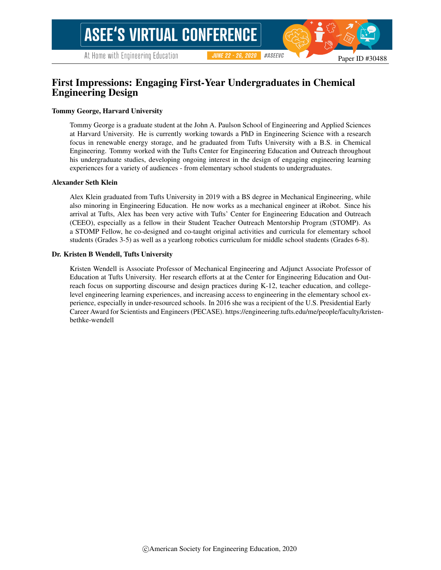## First Impressions: Engaging First-Year Undergraduates in Chemical Engineering Design

#### Tommy George, Harvard University

Tommy George is a graduate student at the John A. Paulson School of Engineering and Applied Sciences at Harvard University. He is currently working towards a PhD in Engineering Science with a research focus in renewable energy storage, and he graduated from Tufts University with a B.S. in Chemical Engineering. Tommy worked with the Tufts Center for Engineering Education and Outreach throughout his undergraduate studies, developing ongoing interest in the design of engaging engineering learning experiences for a variety of audiences - from elementary school students to undergraduates.

#### Alexander Seth Klein

Alex Klein graduated from Tufts University in 2019 with a BS degree in Mechanical Engineering, while also minoring in Engineering Education. He now works as a mechanical engineer at iRobot. Since his arrival at Tufts, Alex has been very active with Tufts' Center for Engineering Education and Outreach (CEEO), especially as a fellow in their Student Teacher Outreach Mentorship Program (STOMP). As a STOMP Fellow, he co-designed and co-taught original activities and curricula for elementary school students (Grades 3-5) as well as a yearlong robotics curriculum for middle school students (Grades 6-8).

#### Dr. Kristen B Wendell, Tufts University

Kristen Wendell is Associate Professor of Mechanical Engineering and Adjunct Associate Professor of Education at Tufts University. Her research efforts at at the Center for Engineering Education and Outreach focus on supporting discourse and design practices during K-12, teacher education, and collegelevel engineering learning experiences, and increasing access to engineering in the elementary school experience, especially in under-resourced schools. In 2016 she was a recipient of the U.S. Presidential Early Career Award for Scientists and Engineers (PECASE). https://engineering.tufts.edu/me/people/faculty/kristenbethke-wendell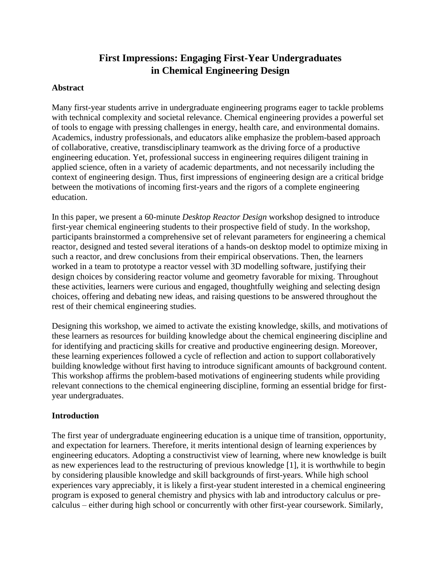# **First Impressions: Engaging First-Year Undergraduates in Chemical Engineering Design**

#### **Abstract**

Many first-year students arrive in undergraduate engineering programs eager to tackle problems with technical complexity and societal relevance. Chemical engineering provides a powerful set of tools to engage with pressing challenges in energy, health care, and environmental domains. Academics, industry professionals, and educators alike emphasize the problem-based approach of collaborative, creative, transdisciplinary teamwork as the driving force of a productive engineering education. Yet, professional success in engineering requires diligent training in applied science, often in a variety of academic departments, and not necessarily including the context of engineering design. Thus, first impressions of engineering design are a critical bridge between the motivations of incoming first-years and the rigors of a complete engineering education.

In this paper, we present a 60-minute *Desktop Reactor Design* workshop designed to introduce first-year chemical engineering students to their prospective field of study. In the workshop, participants brainstormed a comprehensive set of relevant parameters for engineering a chemical reactor, designed and tested several iterations of a hands-on desktop model to optimize mixing in such a reactor, and drew conclusions from their empirical observations. Then, the learners worked in a team to prototype a reactor vessel with 3D modelling software, justifying their design choices by considering reactor volume and geometry favorable for mixing. Throughout these activities, learners were curious and engaged, thoughtfully weighing and selecting design choices, offering and debating new ideas, and raising questions to be answered throughout the rest of their chemical engineering studies.

Designing this workshop, we aimed to activate the existing knowledge, skills, and motivations of these learners as resources for building knowledge about the chemical engineering discipline and for identifying and practicing skills for creative and productive engineering design. Moreover, these learning experiences followed a cycle of reflection and action to support collaboratively building knowledge without first having to introduce significant amounts of background content. This workshop affirms the problem-based motivations of engineering students while providing relevant connections to the chemical engineering discipline, forming an essential bridge for firstyear undergraduates.

#### **Introduction**

The first year of undergraduate engineering education is a unique time of transition, opportunity, and expectation for learners. Therefore, it merits intentional design of learning experiences by engineering educators. Adopting a constructivist view of learning, where new knowledge is built as new experiences lead to the restructuring of previous knowledge [1], it is worthwhile to begin by considering plausible knowledge and skill backgrounds of first-years. While high school experiences vary appreciably, it is likely a first-year student interested in a chemical engineering program is exposed to general chemistry and physics with lab and introductory calculus or precalculus – either during high school or concurrently with other first-year coursework. Similarly,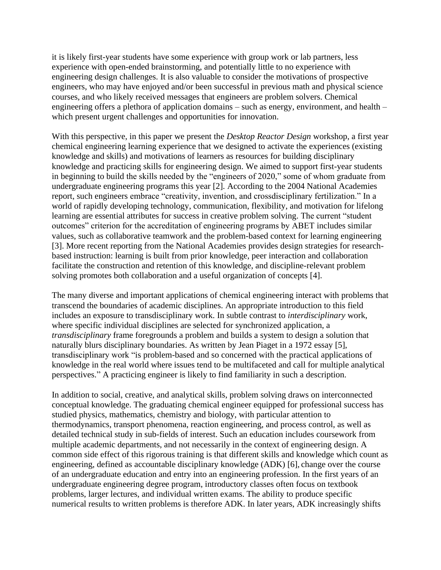it is likely first-year students have some experience with group work or lab partners, less experience with open-ended brainstorming, and potentially little to no experience with engineering design challenges. It is also valuable to consider the motivations of prospective engineers, who may have enjoyed and/or been successful in previous math and physical science courses, and who likely received messages that engineers are problem solvers. Chemical engineering offers a plethora of application domains – such as energy, environment, and health – which present urgent challenges and opportunities for innovation.

With this perspective, in this paper we present the *Desktop Reactor Design* workshop, a first year chemical engineering learning experience that we designed to activate the experiences (existing knowledge and skills) and motivations of learners as resources for building disciplinary knowledge and practicing skills for engineering design. We aimed to support first-year students in beginning to build the skills needed by the "engineers of 2020," some of whom graduate from undergraduate engineering programs this year [2]. According to the 2004 National Academies report, such engineers embrace "creativity, invention, and crossdisciplinary fertilization." In a world of rapidly developing technology, communication, flexibility, and motivation for lifelong learning are essential attributes for success in creative problem solving. The current "student outcomes" criterion for the accreditation of engineering programs by ABET includes similar values, such as collaborative teamwork and the problem-based context for learning engineering [3]. More recent reporting from the National Academies provides design strategies for researchbased instruction: learning is built from prior knowledge, peer interaction and collaboration facilitate the construction and retention of this knowledge, and discipline-relevant problem solving promotes both collaboration and a useful organization of concepts [4].

The many diverse and important applications of chemical engineering interact with problems that transcend the boundaries of academic disciplines. An appropriate introduction to this field includes an exposure to transdisciplinary work. In subtle contrast to *interdisciplinary* work, where specific individual disciplines are selected for synchronized application, a *transdisciplinary* frame foregrounds a problem and builds a system to design a solution that naturally blurs disciplinary boundaries. As written by Jean Piaget in a 1972 essay [5], transdisciplinary work "is problem-based and so concerned with the practical applications of knowledge in the real world where issues tend to be multifaceted and call for multiple analytical perspectives." A practicing engineer is likely to find familiarity in such a description.

In addition to social, creative, and analytical skills, problem solving draws on interconnected conceptual knowledge. The graduating chemical engineer equipped for professional success has studied physics, mathematics, chemistry and biology, with particular attention to thermodynamics, transport phenomena, reaction engineering, and process control, as well as detailed technical study in sub-fields of interest. Such an education includes coursework from multiple academic departments, and not necessarily in the context of engineering design. A common side effect of this rigorous training is that different skills and knowledge which count as engineering, defined as accountable disciplinary knowledge (ADK) [6], change over the course of an undergraduate education and entry into an engineering profession. In the first years of an undergraduate engineering degree program, introductory classes often focus on textbook problems, larger lectures, and individual written exams. The ability to produce specific numerical results to written problems is therefore ADK. In later years, ADK increasingly shifts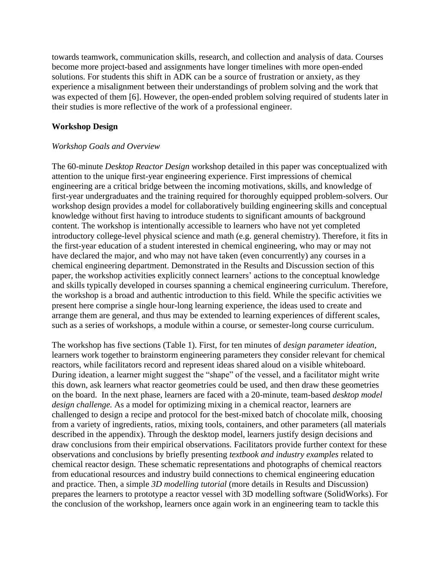towards teamwork, communication skills, research, and collection and analysis of data. Courses become more project-based and assignments have longer timelines with more open-ended solutions. For students this shift in ADK can be a source of frustration or anxiety, as they experience a misalignment between their understandings of problem solving and the work that was expected of them [6]. However, the open-ended problem solving required of students later in their studies is more reflective of the work of a professional engineer.

### **Workshop Design**

### *Workshop Goals and Overview*

The 60-minute *Desktop Reactor Design* workshop detailed in this paper was conceptualized with attention to the unique first-year engineering experience. First impressions of chemical engineering are a critical bridge between the incoming motivations, skills, and knowledge of first-year undergraduates and the training required for thoroughly equipped problem-solvers. Our workshop design provides a model for collaboratively building engineering skills and conceptual knowledge without first having to introduce students to significant amounts of background content. The workshop is intentionally accessible to learners who have not yet completed introductory college-level physical science and math (e.g. general chemistry). Therefore, it fits in the first-year education of a student interested in chemical engineering, who may or may not have declared the major, and who may not have taken (even concurrently) any courses in a chemical engineering department. Demonstrated in the Results and Discussion section of this paper, the workshop activities explicitly connect learners' actions to the conceptual knowledge and skills typically developed in courses spanning a chemical engineering curriculum. Therefore, the workshop is a broad and authentic introduction to this field. While the specific activities we present here comprise a single hour-long learning experience, the ideas used to create and arrange them are general, and thus may be extended to learning experiences of different scales, such as a series of workshops, a module within a course, or semester-long course curriculum.

The workshop has five sections (Table 1). First, for ten minutes of *design parameter ideation,* learners work together to brainstorm engineering parameters they consider relevant for chemical reactors, while facilitators record and represent ideas shared aloud on a visible whiteboard. During ideation, a learner might suggest the "shape" of the vessel, and a facilitator might write this down, ask learners what reactor geometries could be used, and then draw these geometries on the board. In the next phase, learners are faced with a 20-minute, team-based *desktop model design challenge.* As a model for optimizing mixing in a chemical reactor, learners are challenged to design a recipe and protocol for the best-mixed batch of chocolate milk, choosing from a variety of ingredients, ratios, mixing tools, containers, and other parameters (all materials described in the appendix). Through the desktop model, learners justify design decisions and draw conclusions from their empirical observations. Facilitators provide further context for these observations and conclusions by briefly presenting *textbook and industry examples* related to chemical reactor design. These schematic representations and photographs of chemical reactors from educational resources and industry build connections to chemical engineering education and practice. Then, a simple *3D modelling tutorial* (more details in Results and Discussion) prepares the learners to prototype a reactor vessel with 3D modelling software (SolidWorks). For the conclusion of the workshop, learners once again work in an engineering team to tackle this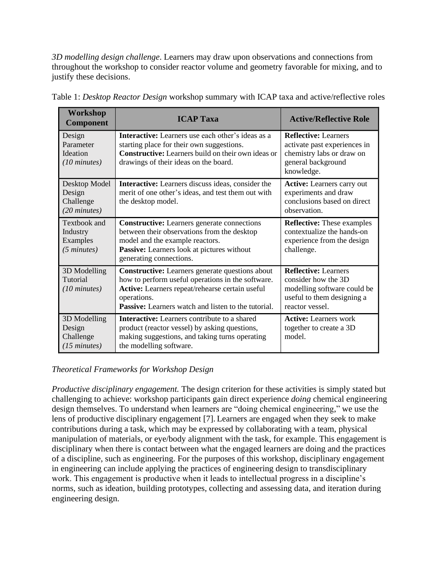*3D modelling design challenge*. Learners may draw upon observations and connections from throughout the workshop to consider reactor volume and geometry favorable for mixing, and to justify these decisions.

| Workshop<br><b>Component</b>                                     | <b>ICAP Taxa</b>                                                                                                                                                                                                                     | <b>Active/Reflective Role</b>                                                                                                      |
|------------------------------------------------------------------|--------------------------------------------------------------------------------------------------------------------------------------------------------------------------------------------------------------------------------------|------------------------------------------------------------------------------------------------------------------------------------|
| Design<br>Parameter<br><b>Ideation</b><br>$(10 \text{ minutes})$ | <b>Interactive:</b> Learners use each other's ideas as a<br>starting place for their own suggestions.<br><b>Constructive:</b> Learners build on their own ideas or<br>drawings of their ideas on the board.                          | <b>Reflective: Learners</b><br>activate past experiences in<br>chemistry labs or draw on<br>general background<br>knowledge.       |
| Desktop Model<br>Design<br>Challenge<br>$(20 \text{ minutes})$   | <b>Interactive:</b> Learners discuss ideas, consider the<br>merit of one other's ideas, and test them out with<br>the desktop model.                                                                                                 | <b>Active:</b> Learners carry out<br>experiments and draw<br>conclusions based on direct<br>observation.                           |
| Textbook and<br>Industry<br>Examples<br>$(5 \text{ minutes})$    | <b>Constructive:</b> Learners generate connections<br>between their observations from the desktop<br>model and the example reactors.<br>Passive: Learners look at pictures without<br>generating connections.                        | <b>Reflective:</b> These examples<br>contextualize the hands-on<br>experience from the design<br>challenge.                        |
| 3D Modelling<br>Tutorial<br>$(10 \text{ minutes})$               | <b>Constructive:</b> Learners generate questions about<br>how to perform useful operations in the software.<br>Active: Learners repeat/rehearse certain useful<br>operations.<br>Passive: Learners watch and listen to the tutorial. | <b>Reflective: Learners</b><br>consider how the 3D<br>modelling software could be<br>useful to them designing a<br>reactor vessel. |
| 3D Modelling<br>Design<br>Challenge<br>$(15 \text{ minutes})$    | <b>Interactive:</b> Learners contribute to a shared<br>product (reactor vessel) by asking questions,<br>making suggestions, and taking turns operating<br>the modelling software.                                                    | <b>Active:</b> Learners work<br>together to create a 3D<br>model.                                                                  |

Table 1: *Desktop Reactor Design* workshop summary with ICAP taxa and active/reflective roles

## *Theoretical Frameworks for Workshop Design*

*Productive disciplinary engagement.* The design criterion for these activities is simply stated but challenging to achieve: workshop participants gain direct experience *doing* chemical engineering design themselves. To understand when learners are "doing chemical engineering," we use the lens of productive disciplinary engagement [7]. Learners are engaged when they seek to make contributions during a task, which may be expressed by collaborating with a team, physical manipulation of materials, or eye/body alignment with the task, for example. This engagement is disciplinary when there is contact between what the engaged learners are doing and the practices of a discipline, such as engineering. For the purposes of this workshop, disciplinary engagement in engineering can include applying the practices of engineering design to transdisciplinary work. This engagement is productive when it leads to intellectual progress in a discipline's norms, such as ideation, building prototypes, collecting and assessing data, and iteration during engineering design.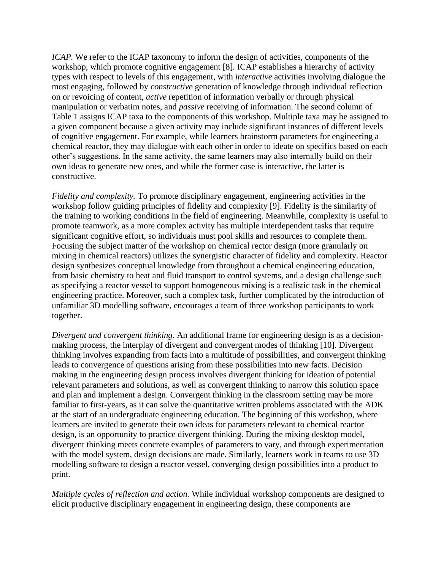*ICAP*. We refer to the ICAP taxonomy to inform the design of activities, components of the workshop, which promote cognitive engagement [8]. ICAP establishes a hierarchy of activity types with respect to levels of this engagement, with *interactive* activities involving dialogue the most engaging, followed by *constructive* generation of knowledge through individual reflection on or revoicing of content, *active* repetition of information verbally or through physical manipulation or verbatim notes, and *passive* receiving of information. The second column of Table 1 assigns ICAP taxa to the components of this workshop. Multiple taxa may be assigned to a given component because a given activity may include significant instances of different levels of cognitive engagement. For example, while learners brainstorm parameters for engineering a chemical reactor, they may dialogue with each other in order to ideate on specifics based on each other's suggestions. In the same activity, the same learners may also internally build on their own ideas to generate new ones, and while the former case is interactive, the latter is constructive.

*Fidelity and complexity.* To promote disciplinary engagement, engineering activities in the workshop follow guiding principles of fidelity and complexity [9]. Fidelity is the similarity of the training to working conditions in the field of engineering. Meanwhile, complexity is useful to promote teamwork, as a more complex activity has multiple interdependent tasks that require significant cognitive effort, so individuals must pool skills and resources to complete them. Focusing the subject matter of the workshop on chemical rector design (more granularly on mixing in chemical reactors) utilizes the synergistic character of fidelity and complexity. Reactor design synthesizes conceptual knowledge from throughout a chemical engineering education, from basic chemistry to heat and fluid transport to control systems, and a design challenge such as specifying a reactor vessel to support homogeneous mixing is a realistic task in the chemical engineering practice. Moreover, such a complex task, further complicated by the introduction of unfamiliar 3D modelling software, encourages a team of three workshop participants to work together.

*Divergent and convergent thinking.* An additional frame for engineering design is as a decisionmaking process, the interplay of divergent and convergent modes of thinking [10]. Divergent thinking involves expanding from facts into a multitude of possibilities, and convergent thinking leads to convergence of questions arising from these possibilities into new facts. Decision making in the engineering design process involves divergent thinking for ideation of potential relevant parameters and solutions, as well as convergent thinking to narrow this solution space and plan and implement a design. Convergent thinking in the classroom setting may be more familiar to first-years, as it can solve the quantitative written problems associated with the ADK at the start of an undergraduate engineering education. The beginning of this workshop, where learners are invited to generate their own ideas for parameters relevant to chemical reactor design, is an opportunity to practice divergent thinking. During the mixing desktop model, divergent thinking meets concrete examples of parameters to vary, and through experimentation with the model system, design decisions are made. Similarly, learners work in teams to use 3D modelling software to design a reactor vessel, converging design possibilities into a product to print.

*Multiple cycles of reflection and action.* While individual workshop components are designed to elicit productive disciplinary engagement in engineering design, these components are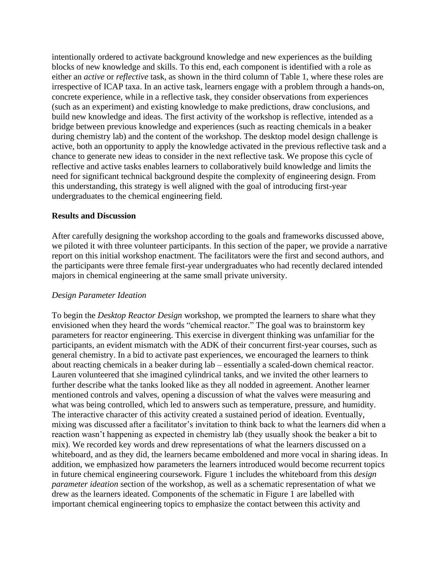intentionally ordered to activate background knowledge and new experiences as the building blocks of new knowledge and skills. To this end, each component is identified with a role as either an *active* or *reflective* task, as shown in the third column of Table 1, where these roles are irrespective of ICAP taxa. In an active task, learners engage with a problem through a hands-on, concrete experience, while in a reflective task, they consider observations from experiences (such as an experiment) and existing knowledge to make predictions, draw conclusions, and build new knowledge and ideas. The first activity of the workshop is reflective, intended as a bridge between previous knowledge and experiences (such as reacting chemicals in a beaker during chemistry lab) and the content of the workshop. The desktop model design challenge is active, both an opportunity to apply the knowledge activated in the previous reflective task and a chance to generate new ideas to consider in the next reflective task. We propose this cycle of reflective and active tasks enables learners to collaboratively build knowledge and limits the need for significant technical background despite the complexity of engineering design. From this understanding, this strategy is well aligned with the goal of introducing first-year undergraduates to the chemical engineering field.

#### **Results and Discussion**

After carefully designing the workshop according to the goals and frameworks discussed above, we piloted it with three volunteer participants. In this section of the paper, we provide a narrative report on this initial workshop enactment. The facilitators were the first and second authors, and the participants were three female first-year undergraduates who had recently declared intended majors in chemical engineering at the same small private university.

#### *Design Parameter Ideation*

To begin the *Desktop Reactor Design* workshop, we prompted the learners to share what they envisioned when they heard the words "chemical reactor." The goal was to brainstorm key parameters for reactor engineering. This exercise in divergent thinking was unfamiliar for the participants, an evident mismatch with the ADK of their concurrent first-year courses, such as general chemistry. In a bid to activate past experiences, we encouraged the learners to think about reacting chemicals in a beaker during lab – essentially a scaled-down chemical reactor. Lauren volunteered that she imagined cylindrical tanks, and we invited the other learners to further describe what the tanks looked like as they all nodded in agreement. Another learner mentioned controls and valves, opening a discussion of what the valves were measuring and what was being controlled, which led to answers such as temperature, pressure, and humidity. The interactive character of this activity created a sustained period of ideation. Eventually, mixing was discussed after a facilitator's invitation to think back to what the learners did when a reaction wasn't happening as expected in chemistry lab (they usually shook the beaker a bit to mix). We recorded key words and drew representations of what the learners discussed on a whiteboard, and as they did, the learners became emboldened and more vocal in sharing ideas. In addition, we emphasized how parameters the learners introduced would become recurrent topics in future chemical engineering coursework. Figure 1 includes the whiteboard from this *design parameter ideation* section of the workshop, as well as a schematic representation of what we drew as the learners ideated. Components of the schematic in Figure 1 are labelled with important chemical engineering topics to emphasize the contact between this activity and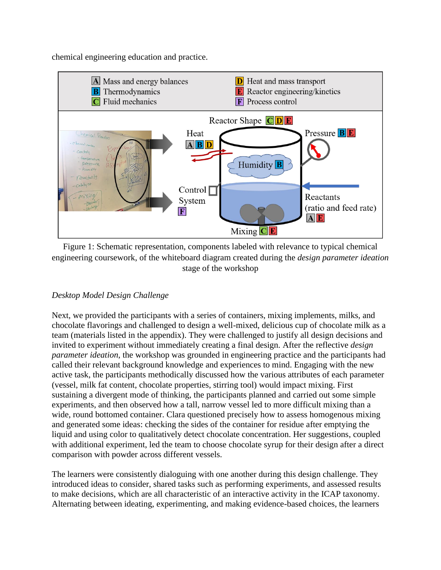chemical engineering education and practice.



Figure 1: Schematic representation, components labeled with relevance to typical chemical engineering coursework, of the whiteboard diagram created during the *design parameter ideation* stage of the workshop

## *Desktop Model Design Challenge*

Next, we provided the participants with a series of containers, mixing implements, milks, and chocolate flavorings and challenged to design a well-mixed, delicious cup of chocolate milk as a team (materials listed in the appendix). They were challenged to justify all design decisions and invited to experiment without immediately creating a final design. After the reflective *design parameter ideation*, the workshop was grounded in engineering practice and the participants had called their relevant background knowledge and experiences to mind. Engaging with the new active task, the participants methodically discussed how the various attributes of each parameter (vessel, milk fat content, chocolate properties, stirring tool) would impact mixing. First sustaining a divergent mode of thinking, the participants planned and carried out some simple experiments, and then observed how a tall, narrow vessel led to more difficult mixing than a wide, round bottomed container. Clara questioned precisely how to assess homogenous mixing and generated some ideas: checking the sides of the container for residue after emptying the liquid and using color to qualitatively detect chocolate concentration. Her suggestions, coupled with additional experiment, led the team to choose chocolate syrup for their design after a direct comparison with powder across different vessels.

The learners were consistently dialoguing with one another during this design challenge. They introduced ideas to consider, shared tasks such as performing experiments, and assessed results to make decisions, which are all characteristic of an interactive activity in the ICAP taxonomy. Alternating between ideating, experimenting, and making evidence-based choices, the learners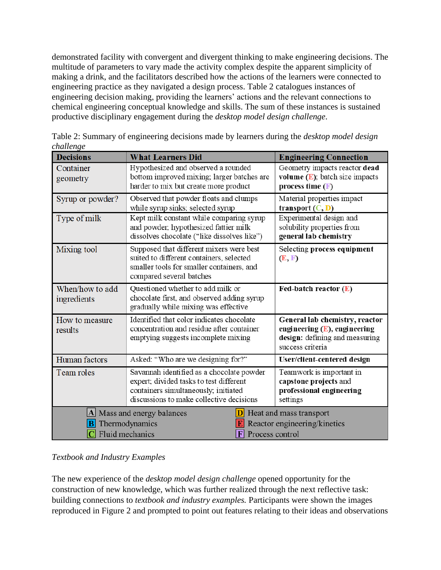demonstrated facility with convergent and divergent thinking to make engineering decisions. The multitude of parameters to vary made the activity complex despite the apparent simplicity of making a drink, and the facilitators described how the actions of the learners were connected to engineering practice as they navigated a design process. Table 2 catalogues instances of engineering decision making, providing the learners' actions and the relevant connections to chemical engineering conceptual knowledge and skills. The sum of these instances is sustained productive disciplinary engagement during the *desktop model design challenge*.

| <b>Decisions</b>                                                                                                                                                         | <b>What Learners Did</b>                                                                                                                                                 | <b>Engineering Connection</b>                                                                                           |
|--------------------------------------------------------------------------------------------------------------------------------------------------------------------------|--------------------------------------------------------------------------------------------------------------------------------------------------------------------------|-------------------------------------------------------------------------------------------------------------------------|
| Container<br>geometry                                                                                                                                                    | Hypothesized and observed a rounded<br>bottom improved mixing; larger batches are<br>harder to mix but create more product                                               | Geometry impacts reactor dead<br>volume $(E)$ ; batch size impacts<br>process time $(F)$                                |
| Syrup or powder?                                                                                                                                                         | Observed that powder floats and clumps<br>while syrup sinks; selected syrup                                                                                              | Material properties impact<br>transport $(C, D)$                                                                        |
| Type of milk                                                                                                                                                             | Kept milk constant while comparing syrup<br>and powder, hypothesized fattier milk<br>dissolves chocolate ("like dissolves like")                                         | Experimental design and<br>solubility properties from<br>general lab chemistry                                          |
| Mixing tool                                                                                                                                                              | Supposed that different mixers were best<br>suited to different containers, selected<br>smaller tools for smaller containers, and<br>compared several batches            | Selecting process equipment<br>(E, F)                                                                                   |
| When/how to add<br>ingredients                                                                                                                                           | Questioned whether to add milk or<br>chocolate first, and observed adding syrup<br>gradually while mixing was effective                                                  | Fed-batch reactor $(E)$                                                                                                 |
| How to measure<br>results                                                                                                                                                | Identified that color indicates chocolate<br>concentration and residue after container<br>emptying suggests incomplete mixing                                            | General lab chemistry, reactor<br>engineering $(E)$ , engineering<br>design: defining and measuring<br>success criteria |
| Human factors                                                                                                                                                            | Asked: "Who are we designing for?"                                                                                                                                       | User/client-centered design                                                                                             |
| Team roles                                                                                                                                                               | Savannah identified as a chocolate powder<br>expert; divided tasks to test different<br>containers simultaneously; initiated<br>discussions to make collective decisions | Teamwork is important in<br>capstone projects and<br>professional engineering<br>settings                               |
| $\Delta$ Mass and energy balances<br>Heat and mass transport<br><b>B</b> Thermodynamics<br>Reactor engineering/kinetics<br>$ C $ Fluid mechanics<br>Process control<br>E |                                                                                                                                                                          |                                                                                                                         |

Table 2: Summary of engineering decisions made by learners during the *desktop model design challenge*

## *Textbook and Industry Examples*

The new experience of the *desktop model design challenge* opened opportunity for the construction of new knowledge, which was further realized through the next reflective task: building connections to *textbook and industry examples.* Participants were shown the images reproduced in Figure 2 and prompted to point out features relating to their ideas and observations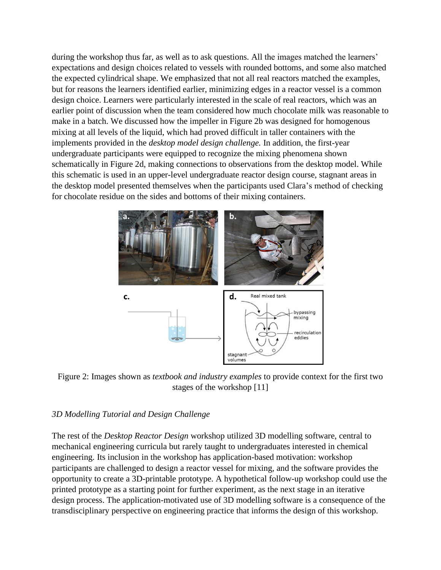during the workshop thus far, as well as to ask questions. All the images matched the learners' expectations and design choices related to vessels with rounded bottoms, and some also matched the expected cylindrical shape. We emphasized that not all real reactors matched the examples, but for reasons the learners identified earlier, minimizing edges in a reactor vessel is a common design choice. Learners were particularly interested in the scale of real reactors, which was an earlier point of discussion when the team considered how much chocolate milk was reasonable to make in a batch. We discussed how the impeller in Figure 2b was designed for homogenous mixing at all levels of the liquid, which had proved difficult in taller containers with the implements provided in the *desktop model design challenge.* In addition, the first-year undergraduate participants were equipped to recognize the mixing phenomena shown schematically in Figure 2d, making connections to observations from the desktop model. While this schematic is used in an upper-level undergraduate reactor design course, stagnant areas in the desktop model presented themselves when the participants used Clara's method of checking for chocolate residue on the sides and bottoms of their mixing containers.



Figure 2: Images shown as *textbook and industry examples* to provide context for the first two stages of the workshop [11]

### *3D Modelling Tutorial and Design Challenge*

The rest of the *Desktop Reactor Design* workshop utilized 3D modelling software, central to mechanical engineering curricula but rarely taught to undergraduates interested in chemical engineering. Its inclusion in the workshop has application-based motivation: workshop participants are challenged to design a reactor vessel for mixing, and the software provides the opportunity to create a 3D-printable prototype. A hypothetical follow-up workshop could use the printed prototype as a starting point for further experiment, as the next stage in an iterative design process. The application-motivated use of 3D modelling software is a consequence of the transdisciplinary perspective on engineering practice that informs the design of this workshop.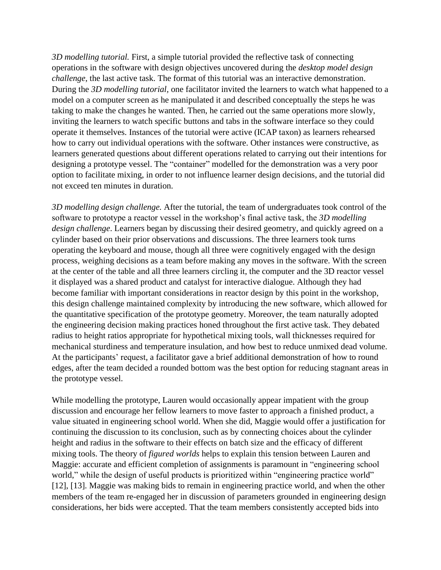*3D modelling tutorial.* First, a simple tutorial provided the reflective task of connecting operations in the software with design objectives uncovered during the *desktop model design challenge*, the last active task. The format of this tutorial was an interactive demonstration. During the *3D modelling tutorial,* one facilitator invited the learners to watch what happened to a model on a computer screen as he manipulated it and described conceptually the steps he was taking to make the changes he wanted. Then, he carried out the same operations more slowly, inviting the learners to watch specific buttons and tabs in the software interface so they could operate it themselves. Instances of the tutorial were active (ICAP taxon) as learners rehearsed how to carry out individual operations with the software. Other instances were constructive, as learners generated questions about different operations related to carrying out their intentions for designing a prototype vessel. The "container" modelled for the demonstration was a very poor option to facilitate mixing, in order to not influence learner design decisions, and the tutorial did not exceed ten minutes in duration.

*3D modelling design challenge.* After the tutorial, the team of undergraduates took control of the software to prototype a reactor vessel in the workshop's final active task, the *3D modelling design challenge*. Learners began by discussing their desired geometry, and quickly agreed on a cylinder based on their prior observations and discussions. The three learners took turns operating the keyboard and mouse, though all three were cognitively engaged with the design process, weighing decisions as a team before making any moves in the software. With the screen at the center of the table and all three learners circling it, the computer and the 3D reactor vessel it displayed was a shared product and catalyst for interactive dialogue. Although they had become familiar with important considerations in reactor design by this point in the workshop, this design challenge maintained complexity by introducing the new software, which allowed for the quantitative specification of the prototype geometry. Moreover, the team naturally adopted the engineering decision making practices honed throughout the first active task. They debated radius to height ratios appropriate for hypothetical mixing tools, wall thicknesses required for mechanical sturdiness and temperature insulation, and how best to reduce unmixed dead volume. At the participants' request, a facilitator gave a brief additional demonstration of how to round edges, after the team decided a rounded bottom was the best option for reducing stagnant areas in the prototype vessel.

While modelling the prototype, Lauren would occasionally appear impatient with the group discussion and encourage her fellow learners to move faster to approach a finished product, a value situated in engineering school world. When she did, Maggie would offer a justification for continuing the discussion to its conclusion, such as by connecting choices about the cylinder height and radius in the software to their effects on batch size and the efficacy of different mixing tools. The theory of *figured worlds* helps to explain this tension between Lauren and Maggie: accurate and efficient completion of assignments is paramount in "engineering school world," while the design of useful products is prioritized within "engineering practice world" [12], [13]. Maggie was making bids to remain in engineering practice world, and when the other members of the team re-engaged her in discussion of parameters grounded in engineering design considerations, her bids were accepted. That the team members consistently accepted bids into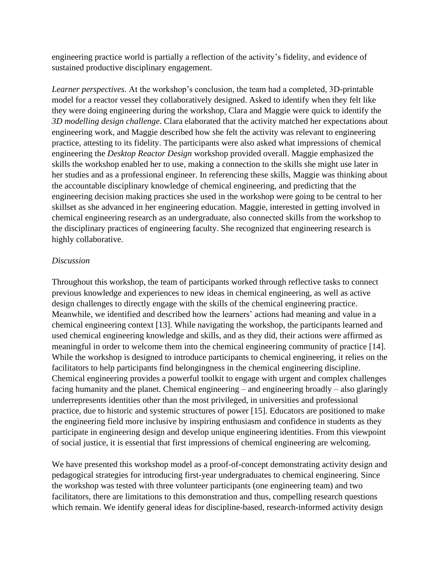engineering practice world is partially a reflection of the activity's fidelity, and evidence of sustained productive disciplinary engagement.

*Learner perspectives.* At the workshop's conclusion, the team had a completed, 3D-printable model for a reactor vessel they collaboratively designed. Asked to identify when they felt like they were doing engineering during the workshop, Clara and Maggie were quick to identify the *3D modelling design challenge*. Clara elaborated that the activity matched her expectations about engineering work, and Maggie described how she felt the activity was relevant to engineering practice, attesting to its fidelity. The participants were also asked what impressions of chemical engineering the *Desktop Reactor Design* workshop provided overall. Maggie emphasized the skills the workshop enabled her to use, making a connection to the skills she might use later in her studies and as a professional engineer. In referencing these skills, Maggie was thinking about the accountable disciplinary knowledge of chemical engineering, and predicting that the engineering decision making practices she used in the workshop were going to be central to her skillset as she advanced in her engineering education. Maggie, interested in getting involved in chemical engineering research as an undergraduate, also connected skills from the workshop to the disciplinary practices of engineering faculty. She recognized that engineering research is highly collaborative.

### *Discussion*

Throughout this workshop, the team of participants worked through reflective tasks to connect previous knowledge and experiences to new ideas in chemical engineering, as well as active design challenges to directly engage with the skills of the chemical engineering practice. Meanwhile, we identified and described how the learners' actions had meaning and value in a chemical engineering context [13]. While navigating the workshop, the participants learned and used chemical engineering knowledge and skills, and as they did, their actions were affirmed as meaningful in order to welcome them into the chemical engineering community of practice [14]. While the workshop is designed to introduce participants to chemical engineering, it relies on the facilitators to help participants find belongingness in the chemical engineering discipline. Chemical engineering provides a powerful toolkit to engage with urgent and complex challenges facing humanity and the planet. Chemical engineering – and engineering broadly – also glaringly underrepresents identities other than the most privileged, in universities and professional practice, due to historic and systemic structures of power [15]. Educators are positioned to make the engineering field more inclusive by inspiring enthusiasm and confidence in students as they participate in engineering design and develop unique engineering identities. From this viewpoint of social justice, it is essential that first impressions of chemical engineering are welcoming.

We have presented this workshop model as a proof-of-concept demonstrating activity design and pedagogical strategies for introducing first-year undergraduates to chemical engineering. Since the workshop was tested with three volunteer participants (one engineering team) and two facilitators, there are limitations to this demonstration and thus, compelling research questions which remain. We identify general ideas for discipline-based, research-informed activity design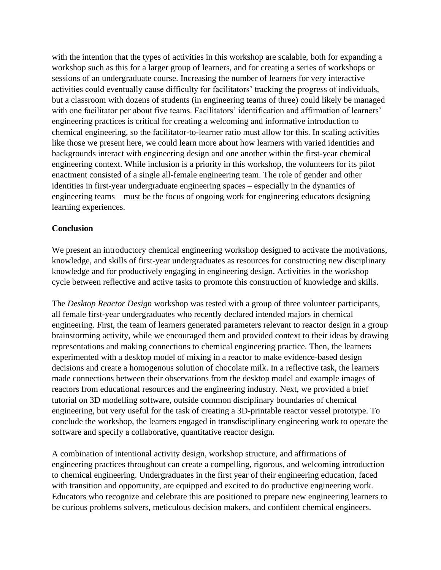with the intention that the types of activities in this workshop are scalable, both for expanding a workshop such as this for a larger group of learners, and for creating a series of workshops or sessions of an undergraduate course. Increasing the number of learners for very interactive activities could eventually cause difficulty for facilitators' tracking the progress of individuals, but a classroom with dozens of students (in engineering teams of three) could likely be managed with one facilitator per about five teams. Facilitators' identification and affirmation of learners' engineering practices is critical for creating a welcoming and informative introduction to chemical engineering, so the facilitator-to-learner ratio must allow for this. In scaling activities like those we present here, we could learn more about how learners with varied identities and backgrounds interact with engineering design and one another within the first-year chemical engineering context. While inclusion is a priority in this workshop, the volunteers for its pilot enactment consisted of a single all-female engineering team. The role of gender and other identities in first-year undergraduate engineering spaces – especially in the dynamics of engineering teams – must be the focus of ongoing work for engineering educators designing learning experiences.

#### **Conclusion**

We present an introductory chemical engineering workshop designed to activate the motivations, knowledge, and skills of first-year undergraduates as resources for constructing new disciplinary knowledge and for productively engaging in engineering design. Activities in the workshop cycle between reflective and active tasks to promote this construction of knowledge and skills.

The *Desktop Reactor Design* workshop was tested with a group of three volunteer participants, all female first-year undergraduates who recently declared intended majors in chemical engineering. First, the team of learners generated parameters relevant to reactor design in a group brainstorming activity, while we encouraged them and provided context to their ideas by drawing representations and making connections to chemical engineering practice. Then, the learners experimented with a desktop model of mixing in a reactor to make evidence-based design decisions and create a homogenous solution of chocolate milk. In a reflective task, the learners made connections between their observations from the desktop model and example images of reactors from educational resources and the engineering industry. Next, we provided a brief tutorial on 3D modelling software, outside common disciplinary boundaries of chemical engineering, but very useful for the task of creating a 3D-printable reactor vessel prototype. To conclude the workshop, the learners engaged in transdisciplinary engineering work to operate the software and specify a collaborative, quantitative reactor design.

A combination of intentional activity design, workshop structure, and affirmations of engineering practices throughout can create a compelling, rigorous, and welcoming introduction to chemical engineering. Undergraduates in the first year of their engineering education, faced with transition and opportunity, are equipped and excited to do productive engineering work. Educators who recognize and celebrate this are positioned to prepare new engineering learners to be curious problems solvers, meticulous decision makers, and confident chemical engineers.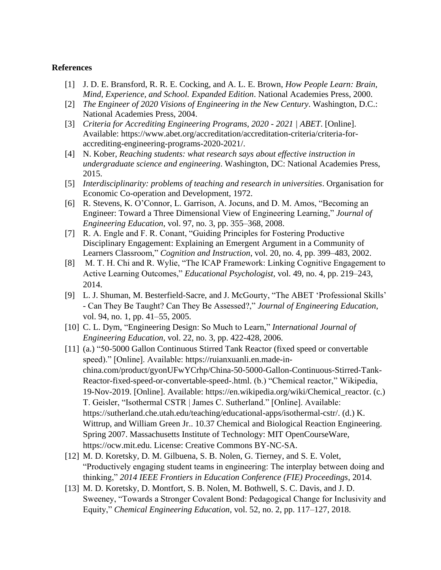#### **References**

- [1] J. D. E. Bransford, R. R. E. Cocking, and A. L. E. Brown, *How People Learn: Brain, Mind, Experience, and School. Expanded Edition*. National Academies Press, 2000.
- [2] *The Engineer of 2020 Visions of Engineering in the New Century*. Washington, D.C.: National Academies Press, 2004.
- [3] *Criteria for Accrediting Engineering Programs, 2020 - 2021 | ABET*. [Online]. Available: https://www.abet.org/accreditation/accreditation-criteria/criteria-foraccrediting-engineering-programs-2020-2021/.
- [4] N. Kober, *Reaching students: what research says about effective instruction in undergraduate science and engineering*. Washington, DC: National Academies Press, 2015.
- [5] *Interdisciplinarity: problems of teaching and research in universities*. Organisation for Economic Co-operation and Development, 1972.
- [6] R. Stevens, K. O'Connor, L. Garrison, A. Jocuns, and D. M. Amos, "Becoming an Engineer: Toward a Three Dimensional View of Engineering Learning," *Journal of Engineering Education*, vol. 97, no. 3, pp. 355–368, 2008.
- [7] R. A. Engle and F. R. Conant, "Guiding Principles for Fostering Productive Disciplinary Engagement: Explaining an Emergent Argument in a Community of Learners Classroom," *Cognition and Instruction*, vol. 20, no. 4, pp. 399–483, 2002.
- [8] M. T. H. Chi and R. Wylie, "The ICAP Framework: Linking Cognitive Engagement to Active Learning Outcomes," *Educational Psychologist,* vol. 49, no. 4, pp. 219–243, 2014.
- [9] L. J. Shuman, M. Besterfield-Sacre, and J. McGourty, "The ABET 'Professional Skills' - Can They Be Taught? Can They Be Assessed?," *Journal of Engineering Education*, vol. 94, no. 1, pp. 41–55, 2005.
- [10] C. L. Dym, "Engineering Design: So Much to Learn," *International Journal of Engineering Education*, vol. 22, no. 3, pp. 422-428, 2006.
- [11] (a.) "50-5000 Gallon Continuous Stirred Tank Reactor (fixed speed or convertable speed)." [Online]. Available: https://ruianxuanli.en.made-inchina.com/product/gyonUFwYCrhp/China-50-5000-Gallon-Continuous-Stirred-Tank-Reactor-fixed-speed-or-convertable-speed-.html. (b.) "Chemical reactor," Wikipedia, 19-Nov-2019. [Online]. Available: https://en.wikipedia.org/wiki/Chemical\_reactor. (c.) T. Geisler, "Isothermal CSTR | James C. Sutherland." [Online]. Available: https://sutherland.che.utah.edu/teaching/educational-apps/isothermal-cstr/. (d.) K. Wittrup, and William Green Jr.. 10.37 Chemical and Biological Reaction Engineering. Spring 2007. Massachusetts Institute of Technology: MIT OpenCourseWare, https://ocw.mit.edu. License: Creative Commons BY-NC-SA.
- [12] M. D. Koretsky, D. M. Gilbuena, S. B. Nolen, G. Tierney, and S. E. Volet, "Productively engaging student teams in engineering: The interplay between doing and thinking," *2014 IEEE Frontiers in Education Conference (FIE) Proceedings*, 2014.
- [13] M. D. Koretsky, D. Montfort, S. B. Nolen, M. Bothwell, S. C. Davis, and J. D. Sweeney, "Towards a Stronger Covalent Bond: Pedagogical Change for Inclusivity and Equity," *Chemical Engineering Education,* vol. 52, no. 2, pp. 117–127, 2018.